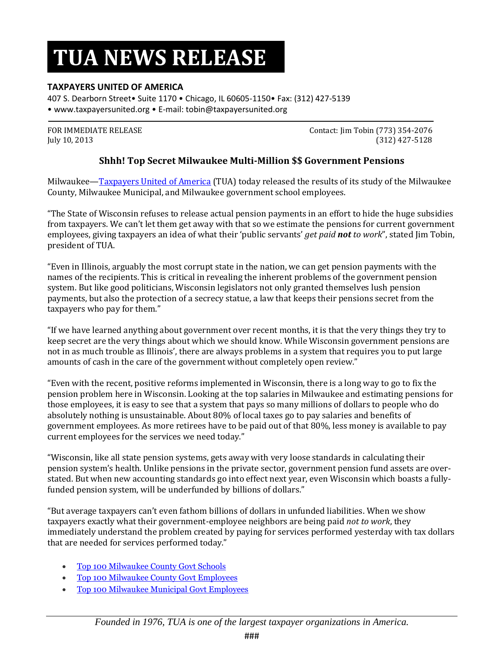# **TUA NEWS RELEASE**

### **TAXPAYERS UNITED OF AMERICA**

407 S. Dearborn Street• Suite 1170 • Chicago, IL 60605-1150• Fax: (312) 427-5139 • www.taxpayersunited.org • E-mail: tobin@taxpayersunited.org

FOR IMMEDIATE RELEASE **Contact:** Jim Tobin (773) 354-2076 July 10, 2013 (312) 427-5128

### **Shhh! Top Secret Milwaukee Multi-Million \$\$ Government Pensions**

Milwaukee—[Taxpayers United of America](http://www.taxpayersunitedofamerica.org/) (TUA) today released the results of its study of the Milwaukee County, Milwaukee Municipal, and Milwaukee government school employees.

"The State of Wisconsin refuses to release actual pension payments in an effort to hide the huge subsidies from taxpayers. We can't let them get away with that so we estimate the pensions for current government employees, giving taxpayers an idea of what their 'public servants' *get paid not to work*", stated Jim Tobin, president of TUA.

"Even in Illinois, arguably the most corrupt state in the nation, we can get pension payments with the names of the recipients. This is critical in revealing the inherent problems of the government pension system. But like good politicians, Wisconsin legislators not only granted themselves lush pension payments, but also the protection of a secrecy statue, a law that keeps their pensions secret from the taxpayers who pay for them."

"If we have learned anything about government over recent months, it is that the very things they try to keep secret are the very things about which we should know. While Wisconsin government pensions are not in as much trouble as Illinois', there are always problems in a system that requires you to put large amounts of cash in the care of the government without completely open review."

"Even with the recent, positive reforms implemented in Wisconsin, there is a long way to go to fix the pension problem here in Wisconsin. Looking at the top salaries in Milwaukee and estimating pensions for those employees, it is easy to see that a system that pays so many millions of dollars to people who do absolutely nothing is unsustainable. About 80% of local taxes go to pay salaries and benefits of government employees. As more retirees have to be paid out of that 80%, less money is available to pay current employees for the services we need today."

"Wisconsin, like all state pension systems, gets away with very loose standards in calculating their pension system's health. Unlike pensions in the private sector, government pension fund assets are overstated. But when new accounting standards go into effect next year, even Wisconsin which boasts a fullyfunded pension system, will be underfunded by billions of dollars."

"But average taxpayers can't even fathom billions of dollars in unfunded liabilities. When we show taxpayers exactly what their government-employee neighbors are being paid *not to work*, they immediately understand the problem created by paying for services performed yesterday with tax dollars that are needed for services performed today."

- [Top 100 Milwaukee County Govt Schools](http://www.taxpayersunitedofamerica.org/wp-content/uploads/Milwaukee-County-Govt-Schools-Grid.pdf)
- [Top 100 Milwaukee County Govt Employees](http://www.taxpayersunitedofamerica.org/wp-content/uploads/Milwaukee-County-Govt-employees-Grid.pdf)
- [Top 100 Milwaukee Municipal Govt Employees](http://www.taxpayersunitedofamerica.org/wp-content/uploads/Milwaukee-Municipal-Govt-employees-Grid.pdf)